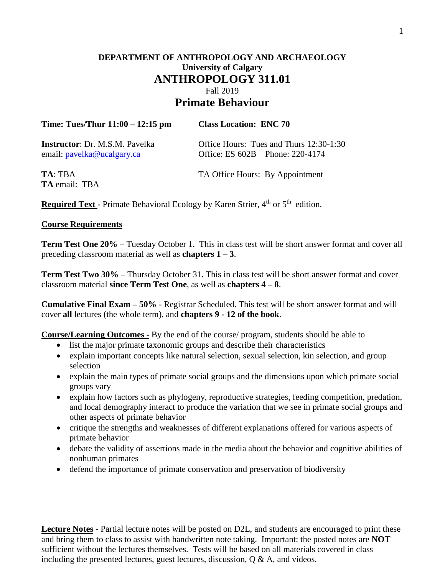# **DEPARTMENT OF ANTHROPOLOGY AND ARCHAEOLOGY University of Calgary ANTHROPOLOGY 311.01** Fall 2019 **Primate Behaviour**

| Time: Tues/Thur $11:00 - 12:15$ pm     | <b>Class Location: ENC 70</b>           |  |  |
|----------------------------------------|-----------------------------------------|--|--|
| <b>Instructor</b> : Dr. M.S.M. Pavelka | Office Hours: Tues and Thurs 12:30-1:30 |  |  |
| email: pavelka@ucalgary.ca             | Office: ES 602B Phone: 220-4174         |  |  |

**TA** email: TBA

**TA: TBA** TA Office Hours: By Appointment

**Required Text -** Primate Behavioral Ecology by Karen Strier, 4<sup>th</sup> or 5<sup>th</sup> edition.

#### **Course Requirements**

**Term Test One 20%** – Tuesday October 1. This in class test will be short answer format and cover all preceding classroom material as well as **chapters 1 – 3**.

**Term Test Two 30%** – Thursday October 31**.** This in class test will be short answer format and cover classroom material **since Term Test One**, as well as **chapters 4 – 8**.

**Cumulative Final Exam – 50%** - Registrar Scheduled. This test will be short answer format and will cover **all** lectures (the whole term), and **chapters 9 - 12 of the book**.

**Course/Learning Outcomes -** By the end of the course/ program, students should be able to

- list the major primate taxonomic groups and describe their characteristics
- explain important concepts like natural selection, sexual selection, kin selection, and group selection
- explain the main types of primate social groups and the dimensions upon which primate social groups vary
- explain how factors such as phylogeny, reproductive strategies, feeding competition, predation, and local demography interact to produce the variation that we see in primate social groups and other aspects of primate behavior
- critique the strengths and weaknesses of different explanations offered for various aspects of primate behavior
- debate the validity of assertions made in the media about the behavior and cognitive abilities of nonhuman primates
- defend the importance of primate conservation and preservation of biodiversity

**Lecture Notes** - Partial lecture notes will be posted on D2L, and students are encouraged to print these and bring them to class to assist with handwritten note taking. Important: the posted notes are **NOT** sufficient without the lectures themselves. Tests will be based on all materials covered in class including the presented lectures, guest lectures, discussion,  $Q \& A$ , and videos.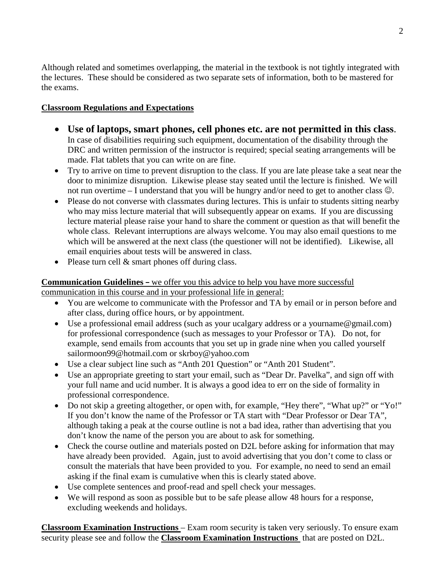Although related and sometimes overlapping, the material in the textbook is not tightly integrated with the lectures. These should be considered as two separate sets of information, both to be mastered for the exams.

## **Classroom Regulations and Expectations**

- **Use of laptops, smart phones, cell phones etc. are not permitted in this class**. In case of disabilities requiring such equipment, documentation of the disability through the DRC and written permission of the instructor is required; special seating arrangements will be made. Flat tablets that you can write on are fine.
- Try to arrive on time to prevent disruption to the class. If you are late please take a seat near the door to minimize disruption. Likewise please stay seated until the lecture is finished. We will not run overtime – I understand that you will be hungry and/or need to get to another class  $\mathcal{Q}$ .
- Please do not converse with classmates during lectures. This is unfair to students sitting nearby who may miss lecture material that will subsequently appear on exams. If you are discussing lecture material please raise your hand to share the comment or question as that will benefit the whole class. Relevant interruptions are always welcome. You may also email questions to me which will be answered at the next class (the questioner will not be identified). Likewise, all email enquiries about tests will be answered in class.
- Please turn cell & smart phones off during class.

#### **Communication Guidelines –** we offer you this advice to help you have more successful communication in this course and in your professional life in general:

- You are welcome to communicate with the Professor and TA by email or in person before and after class, during office hours, or by appointment.
- Use a professional email address (such as your ucalgary address or a [yourname@gmail.com\)](mailto:yourname@gmail.com) for professional correspondence (such as messages to your Professor or TA). Do not, for example, send emails from accounts that you set up in grade nine when you called yourself [sailormoon99@hotmail.com](mailto:sailormoon99@hotmail.com) or [skrboy@yahoo.com](mailto:skrboy@yahoo.com)
- Use a clear subject line such as "Anth 201 Question" or "Anth 201 Student".
- Use an appropriate greeting to start your email, such as "Dear Dr. Pavelka", and sign off with your full name and ucid number. It is always a good idea to err on the side of formality in professional correspondence.
- Do not skip a greeting altogether, or open with, for example, "Hey there", "What up?" or "Yo!" If you don't know the name of the Professor or TA start with "Dear Professor or Dear TA", although taking a peak at the course outline is not a bad idea, rather than advertising that you don't know the name of the person you are about to ask for something.
- Check the course outline and materials posted on D2L before asking for information that may have already been provided. Again, just to avoid advertising that you don't come to class or consult the materials that have been provided to you. For example, no need to send an email asking if the final exam is cumulative when this is clearly stated above.
- Use complete sentences and proof-read and spell check your messages.
- We will respond as soon as possible but to be safe please allow 48 hours for a response, excluding weekends and holidays.

**Classroom Examination Instructions** – Exam room security is taken very seriously. To ensure exam security please see and follow the **Classroom Examination Instructions** that are posted on D2L.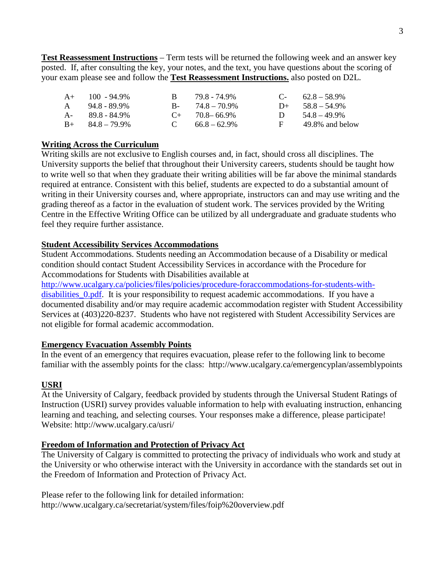**Test Reassessment Instructions** – Term tests will be returned the following week and an answer key posted. If, after consulting the key, your notes, and the text, you have questions about the scoring of your exam please see and follow the **Test Reassessment Instructions.** also posted on D2L.

| $A+$ 100 - 94.9%        | R.           | 79.8 - 74.9%           |    | $C-$ 62.8 – 58.9%  |
|-------------------------|--------------|------------------------|----|--------------------|
| $A = 94.8 - 89.9\%$     |              | $B - 74.8 - 70.9\%$    |    | $D+ 58.8 - 54.9\%$ |
| A- 89.8 - 84.9%         |              | $C_{\pm}$ 70.8 – 66.9% |    | D $54.8 - 49.9\%$  |
| $B_{+}$ $84.8 - 79.9\%$ | $\mathbf{C}$ | $66.8 - 62.9\%$        | E. | 49.8% and below    |

#### **Writing Across the Curriculum**

Writing skills are not exclusive to English courses and, in fact, should cross all disciplines. The University supports the belief that throughout their University careers, students should be taught how to write well so that when they graduate their writing abilities will be far above the minimal standards required at entrance. Consistent with this belief, students are expected to do a substantial amount of writing in their University courses and, where appropriate, instructors can and may use writing and the grading thereof as a factor in the evaluation of student work. The services provided by the Writing Centre in the Effective Writing Office can be utilized by all undergraduate and graduate students who feel they require further assistance.

#### **Student Accessibility Services Accommodations**

Student Accommodations. Students needing an Accommodation because of a Disability or medical condition should contact Student Accessibility Services in accordance with the Procedure for Accommodations for Students with Disabilities available at

[http://www.ucalgary.ca/policies/files/policies/procedure-foraccommodations-for-students-with](http://www.ucalgary.ca/policies/files/policies/procedure-foraccommodations-for-students-with-disabilities_0.pdf)[disabilities\\_0.pdf.](http://www.ucalgary.ca/policies/files/policies/procedure-foraccommodations-for-students-with-disabilities_0.pdf) It is your responsibility to request academic accommodations. If you have a documented disability and/or may require academic accommodation register with Student Accessibility Services at (403)220-8237. Students who have not registered with Student Accessibility Services are not eligible for formal academic accommodation.

#### **Emergency Evacuation Assembly Points**

In the event of an emergency that requires evacuation, please refer to the following link to become familiar with the assembly points for the class: http://www.ucalgary.ca/emergencyplan/assemblypoints

### **USRI**

At the University of Calgary, feedback provided by students through the Universal Student Ratings of Instruction (USRI) survey provides valuable information to help with evaluating instruction, enhancing learning and teaching, and selecting courses. Your responses make a difference, please participate! Website: http://www.ucalgary.ca/usri/

#### **Freedom of Information and Protection of Privacy Act**

The University of Calgary is committed to protecting the privacy of individuals who work and study at the University or who otherwise interact with the University in accordance with the standards set out in the Freedom of Information and Protection of Privacy Act.

Please refer to the following link for detailed information: http://www.ucalgary.ca/secretariat/system/files/foip%20overview.pdf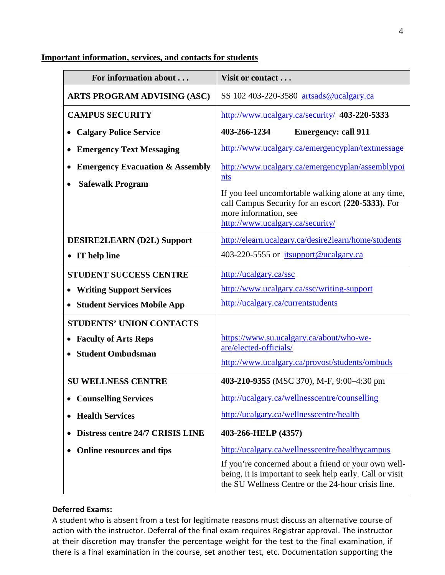#### For information about . . . **Visit or contact . . . ARTS PROGRAM ADVISING (ASC)** SS 102 403-220-3580 [artsads@ucalgary.ca](mailto:artsads@ucalgary.ca) **CAMPUS SECURITY** • **Calgary Police Service** • **Emergency Text Messaging** • **Emergency Evacuation & Assembly** • **Safewalk Program** <http://www.ucalgary.ca/security/> **403-220-5333 403-266-1234 Emergency: call 911** <http://www.ucalgary.ca/emergencyplan/textmessage> [http://www.ucalgary.ca/emergencyplan/assemblypoi](http://www.ucalgary.ca/emergencyplan/assemblypoints) [nts](http://www.ucalgary.ca/emergencyplan/assemblypoints) If you feel uncomfortable walking alone at any time, call Campus Security for an escort (**220-5333).** For more information, se[e](http://www.ucalgary.ca/security/) <http://www.ucalgary.ca/security/> **DESIRE2LEARN (D2L) Support** • **IT help line** <http://elearn.ucalgary.ca/desire2learn/home/students> 403-220-5555 or [itsupport@ucalgary.ca](mailto:itsupport@ucalgary.ca) **STUDENT SUCCESS CENTRE** • **Writing Support Services** • **Student Services Mobile App** <http://ucalgary.ca/ssc> <http://www.ucalgary.ca/ssc/writing-support> <http://ucalgary.ca/currentstudents> **STUDENTS' UNION CONTACTS** • **Faculty of Arts Reps** • **Student Ombudsman** [https://www.su.ucalgary.ca/about/who-we](https://www.su.ucalgary.ca/about/who-we-are/elected-officials/)[are/elected-officials/](https://www.su.ucalgary.ca/about/who-we-are/elected-officials/) <http://www.ucalgary.ca/provost/students/ombuds> **SU WELLNESS CENTRE** • **Counselling Services** • **Health Services** • **Distress centre 24/7 CRISIS LINE** • **Online resources and tips 403-210-9355** (MSC 370), M-F, 9:00–4:30 pm <http://ucalgary.ca/wellnesscentre/counselling> <http://ucalgary.ca/wellnesscentre/health> **403-266-HELP (4357)** <http://ucalgary.ca/wellnesscentre/healthycampus> If you're concerned about a friend or your own wellbeing, it is important to seek help early. Call or visit the SU Wellness Centre or the 24-hour crisis line.

### **Important information, services, and contacts for students**

### **Deferred Exams:**

A student who is absent from a test for legitimate reasons must discuss an alternative course of action with the instructor. Deferral of the final exam requires Registrar approval. The instructor at their discretion may transfer the percentage weight for the test to the final examination, if there is a final examination in the course, set another test, etc. Documentation supporting the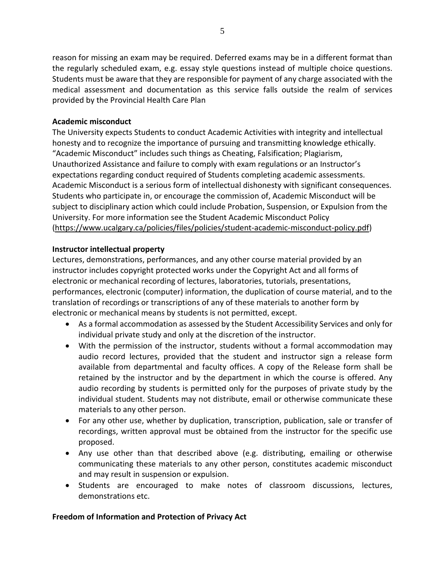reason for missing an exam may be required. Deferred exams may be in a different format than the regularly scheduled exam, e.g. essay style questions instead of multiple choice questions. Students must be aware that they are responsible for payment of any charge associated with the medical assessment and documentation as this service falls outside the realm of services provided by the Provincial Health Care Plan

#### **Academic misconduct**

The University expects Students to conduct Academic Activities with integrity and intellectual honesty and to recognize the importance of pursuing and transmitting knowledge ethically. "Academic Misconduct" includes such things as Cheating, Falsification; Plagiarism, Unauthorized Assistance and failure to comply with exam regulations or an Instructor's expectations regarding conduct required of Students completing academic assessments. Academic Misconduct is a serious form of intellectual dishonesty with significant consequences. Students who participate in, or encourage the commission of, Academic Misconduct will be subject to disciplinary action which could include Probation, Suspension, or Expulsion from the University. For more information see the Student Academic Misconduct Policy [\(https://www.ucalgary.ca/policies/files/policies/student-academic-misconduct-policy.pdf\)](https://www.ucalgary.ca/policies/files/policies/student-academic-misconduct-policy.pdf)

### **Instructor intellectual property**

Lectures, demonstrations, performances, and any other course material provided by an instructor includes copyright protected works under the Copyright Act and all forms of electronic or mechanical recording of lectures, laboratories, tutorials, presentations, performances, electronic (computer) information, the duplication of course material, and to the translation of recordings or transcriptions of any of these materials to another form by electronic or mechanical means by students is not permitted, except.

- As a formal accommodation as assessed by the Student Accessibility Services and only for individual private study and only at the discretion of the instructor.
- With the permission of the instructor, students without a formal accommodation may audio record lectures, provided that the student and instructor sign a release form available from departmental and faculty offices. A copy of the Release form shall be retained by the instructor and by the department in which the course is offered. Any audio recording by students is permitted only for the purposes of private study by the individual student. Students may not distribute, email or otherwise communicate these materials to any other person.
- For any other use, whether by duplication, transcription, publication, sale or transfer of recordings, written approval must be obtained from the instructor for the specific use proposed.
- Any use other than that described above (e.g. distributing, emailing or otherwise communicating these materials to any other person, constitutes academic misconduct and may result in suspension or expulsion.
- Students are encouraged to make notes of classroom discussions, lectures, demonstrations etc.

### **Freedom of Information and Protection of Privacy Act**